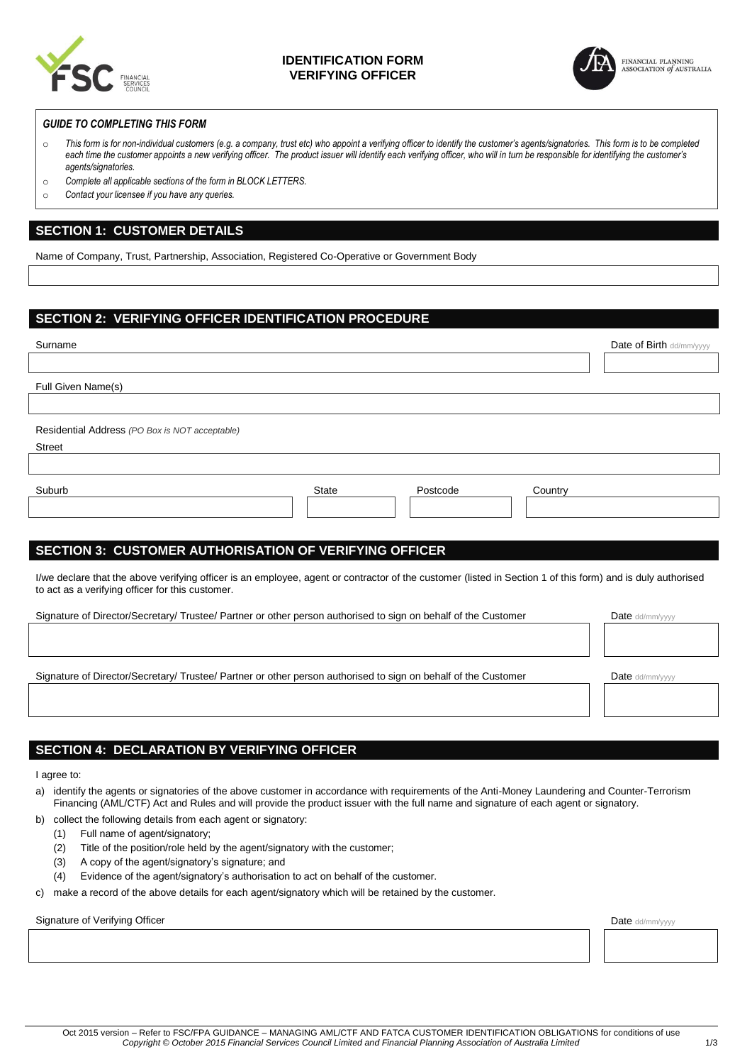

## **IDENTIFICATION FORM VERIFYING OFFICER**



### *GUIDE TO COMPLETING THIS FORM*

- o *This form is for non-individual customers (e.g. a company, trust etc) who appoint a verifying officer to identify the customer's agents/signatories. This form is to be completed*  each time the customer appoints a new verifying officer. The product issuer will identify each verifying officer, who will in turn be responsible for identifying the customer's *agents/signatories.*
- o *Complete all applicable sections of the form in BLOCK LETTERS.*
- o *Contact your licensee if you have any queries.*

## **SECTION 1: CUSTOMER DETAILS**

Name of Company, Trust, Partnership, Association, Registered Co-Operative or Government Body

## **SECTION 2: VERIFYING OFFICER IDENTIFICATION PROCEDURE**

| Surname                                                                                                                                                                                                         | Date of Birth dd/mm/yyyy |  |  |
|-----------------------------------------------------------------------------------------------------------------------------------------------------------------------------------------------------------------|--------------------------|--|--|
|                                                                                                                                                                                                                 |                          |  |  |
| Full Given Name(s)                                                                                                                                                                                              |                          |  |  |
|                                                                                                                                                                                                                 |                          |  |  |
| Residential Address (PO Box is NOT acceptable)                                                                                                                                                                  |                          |  |  |
| <b>Street</b>                                                                                                                                                                                                   |                          |  |  |
|                                                                                                                                                                                                                 |                          |  |  |
| Suburb<br><b>State</b><br>Postcode<br>Country                                                                                                                                                                   |                          |  |  |
|                                                                                                                                                                                                                 |                          |  |  |
|                                                                                                                                                                                                                 |                          |  |  |
| <b>SECTION 3: CUSTOMER AUTHORISATION OF VERIFYING OFFICER</b>                                                                                                                                                   |                          |  |  |
| I/we declare that the above verifying officer is an employee, agent or contractor of the customer (listed in Section 1 of this form) and is duly authorised<br>to act as a verifying officer for this customer. |                          |  |  |
| Signature of Director/Secretary/ Trustee/ Partner or other person authorised to sign on behalf of the Customer                                                                                                  | Date dd/mm/yyyy          |  |  |
|                                                                                                                                                                                                                 |                          |  |  |
| Signature of Director/Secretary/ Trustee/ Partner or other person authorised to sign on behalf of the Customer                                                                                                  | Date dd/mm/yyyy          |  |  |
|                                                                                                                                                                                                                 |                          |  |  |

# **SECTION 4: DECLARATION BY VERIFYING OFFICER**

I agree to:

- a) identify the agents or signatories of the above customer in accordance with requirements of the Anti-Money Laundering and Counter-Terrorism Financing (AML/CTF) Act and Rules and will provide the product issuer with the full name and signature of each agent or signatory.
- b) collect the following details from each agent or signatory:
	- (1) Full name of agent/signatory;
	- (2) Title of the position/role held by the agent/signatory with the customer;
	- (3) A copy of the agent/signatory's signature; and
	- (4) Evidence of the agent/signatory's authorisation to act on behalf of the customer.
- c) make a record of the above details for each agent/signatory which will be retained by the customer.

Signature of Verifying Officer **Date dd/mm/yyyy** Date dd/mm/yyyy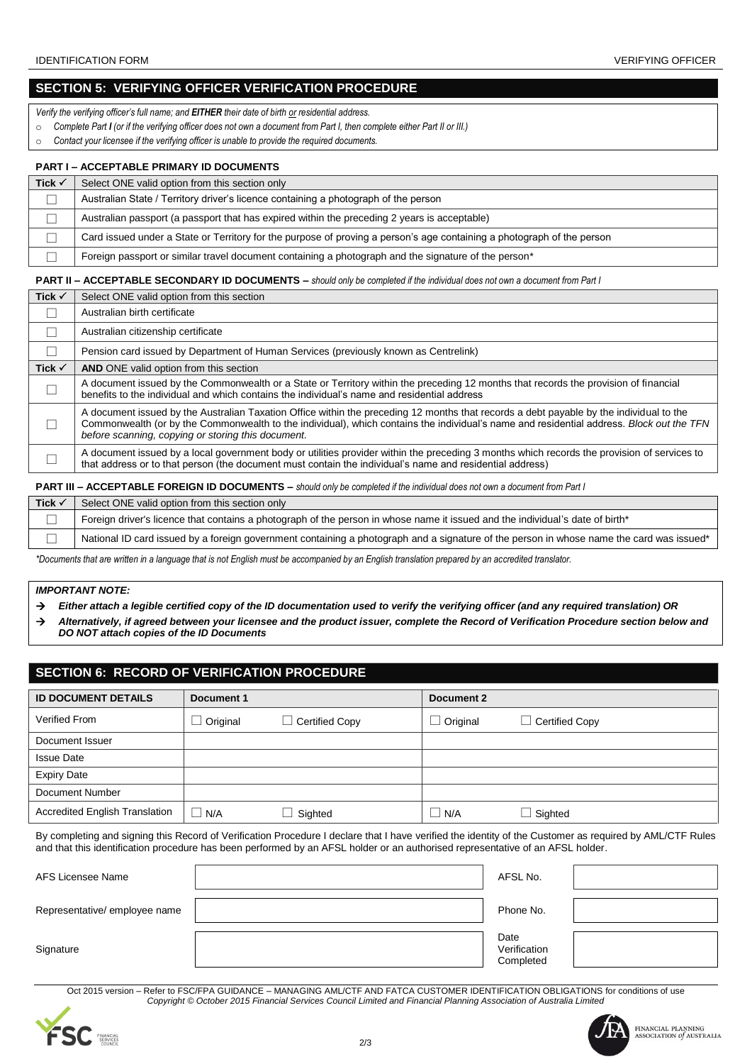## **SECTION 5: VERIFYING OFFICER VERIFICATION PROCEDURE**

*Verify the verifying officer's full name; and EITHER their date of birth or residential address.*

- o *Complete Part I (or if the verifying officer does not own a document from Part I, then complete either Part II or III.)*
- o *Contact your licensee if the verifying officer is unable to provide the required documents.*

#### **PART I – ACCEPTABLE PRIMARY ID DOCUMENTS**

| Tick $\checkmark$ | Select ONE valid option from this section only                                                                         |
|-------------------|------------------------------------------------------------------------------------------------------------------------|
|                   | Australian State / Territory driver's licence containing a photograph of the person                                    |
|                   | Australian passport (a passport that has expired within the preceding 2 years is acceptable)                           |
|                   | Card issued under a State or Territory for the purpose of proving a person's age containing a photograph of the person |
|                   | Foreign passport or similar travel document containing a photograph and the signature of the person*                   |

#### **PART II – ACCEPTABLE SECONDARY ID DOCUMENTS –** *should only be completed if the individual does not own a document from Part I*

| Tick $\checkmark$ | Select ONE valid option from this section                                                                                                                                                                                                                                                                                                 |
|-------------------|-------------------------------------------------------------------------------------------------------------------------------------------------------------------------------------------------------------------------------------------------------------------------------------------------------------------------------------------|
|                   | Australian birth certificate                                                                                                                                                                                                                                                                                                              |
|                   | Australian citizenship certificate                                                                                                                                                                                                                                                                                                        |
|                   | Pension card issued by Department of Human Services (previously known as Centrelink)                                                                                                                                                                                                                                                      |
| Tick $\checkmark$ | <b>AND</b> ONE valid option from this section                                                                                                                                                                                                                                                                                             |
|                   | A document issued by the Commonwealth or a State or Territory within the preceding 12 months that records the provision of financial<br>benefits to the individual and which contains the individual's name and residential address                                                                                                       |
|                   | A document issued by the Australian Taxation Office within the preceding 12 months that records a debt payable by the individual to the<br>Commonwealth (or by the Commonwealth to the individual), which contains the individual's name and residential address. Block out the TFN<br>before scanning, copying or storing this document. |
|                   | A document issued by a local government body or utilities provider within the preceding 3 months which records the provision of services to<br>that address or to that person (the document must contain the individual's name and residential address)                                                                                   |

**PART III – ACCEPTABLE FOREIGN ID DOCUMENTS –** *should only be completed if the individual does not own a document from Part I*

| Tick $\checkmark$ | Select ONE valid option from this section only                                                                                           |
|-------------------|------------------------------------------------------------------------------------------------------------------------------------------|
|                   | Foreign driver's licence that contains a photograph of the person in whose name it issued and the individual's date of birth*            |
|                   | National ID card issued by a foreign government containing a photograph and a signature of the person in whose name the card was issued* |

*\*Documents that are written in a language that is not English must be accompanied by an English translation prepared by an accredited translator.*

### *IMPORTANT NOTE:*

- *Either attach a legible certified copy of the ID documentation used to verify the verifying officer (and any required translation) OR*
- *Alternatively, if agreed between your licensee and the product issuer, complete the Record of Verification Procedure section below and DO NOT attach copies of the ID Documents*

# **SECTION 6: RECORD OF VERIFICATION PROCEDURE**

| <b>ID DOCUMENT DETAILS</b>            | Document 1 |                       | Document 2   |                |
|---------------------------------------|------------|-----------------------|--------------|----------------|
|                                       |            |                       |              |                |
| Verified From                         | Original   | $\Box$ Certified Copy | Original     | Certified Copy |
| Document Issuer                       |            |                       |              |                |
| <b>Issue Date</b>                     |            |                       |              |                |
| <b>Expiry Date</b>                    |            |                       |              |                |
| Document Number                       |            |                       |              |                |
| <b>Accredited English Translation</b> | N/A        | Sighted               | $\sqcup$ N/A | $\Box$ Sighted |

By completing and signing this Record of Verification Procedure I declare that I have verified the identity of the Customer as required by AML/CTF Rules and that this identification procedure has been performed by an AFSL holder or an authorised representative of an AFSL holder.

| AFS Licensee Name             | AFSL No.                          |  |
|-------------------------------|-----------------------------------|--|
| Representative/ employee name | Phone No.                         |  |
| Signature                     | Date<br>Verification<br>Completed |  |

Oct 2015 version – Refer to FSC/FPA GUIDANCE – MANAGING AML/CTF AND FATCA CUSTOMER IDENTIFICATION OBLIGATIONS for conditions of use *Copyright © October 2015 Financial Services Council Limited and Financial Planning Association of Australia Limited*